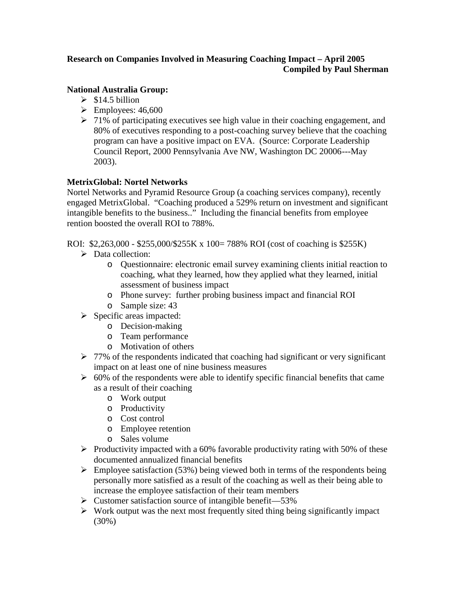# **Research on Companies Involved in Measuring Coaching Impact – April 2005 Compiled by Paul Sherman**

# **National Australia Group:**

- $\geq$  \$14.5 billion
- $\blacktriangleright$  Employees: 46,600
- $\geq 71\%$  of participating executives see high value in their coaching engagement, and 80% of executives responding to a post-coaching survey believe that the coaching program can have a positive impact on EVA. (Source: Corporate Leadership Council Report, 2000 Pennsylvania Ave NW, Washington DC 20006---May 2003).

# **MetrixGlobal: Nortel Networks**

Nortel Networks and Pyramid Resource Group (a coaching services company), recently engaged MetrixGlobal. "Coaching produced a 529% return on investment and significant intangible benefits to the business.." Including the financial benefits from employee rention boosted the overall ROI to 788%.

ROI: \$2,263,000 - \$255,000/\$255K x 100= 788% ROI (cost of coaching is \$255K)

- $\triangleright$  Data collection:
	- o Questionnaire: electronic email survey examining clients initial reaction to coaching, what they learned, how they applied what they learned, initial assessment of business impact
	- o Phone survey: further probing business impact and financial ROI
	- o Sample size: 43
	- $\triangleright$  Specific areas impacted:
		- o Decision-making
		- o Team performance
		- o Motivation of others
	- $\triangleright$  77% of the respondents indicated that coaching had significant or very significant impact on at least one of nine business measures
	- $\geq 60\%$  of the respondents were able to identify specific financial benefits that came as a result of their coaching
		- o Work output
		- o Productivity
		- o Cost control
		- o Employee retention
		- o Sales volume
	- $\triangleright$  Productivity impacted with a 60% favorable productivity rating with 50% of these documented annualized financial benefits
	- $\triangleright$  Employee satisfaction (53%) being viewed both in terms of the respondents being personally more satisfied as a result of the coaching as well as their being able to increase the employee satisfaction of their team members
	- $\triangleright$  Customer satisfaction source of intangible benefit—53%
	- $\triangleright$  Work output was the next most frequently sited thing being significantly impact (30%)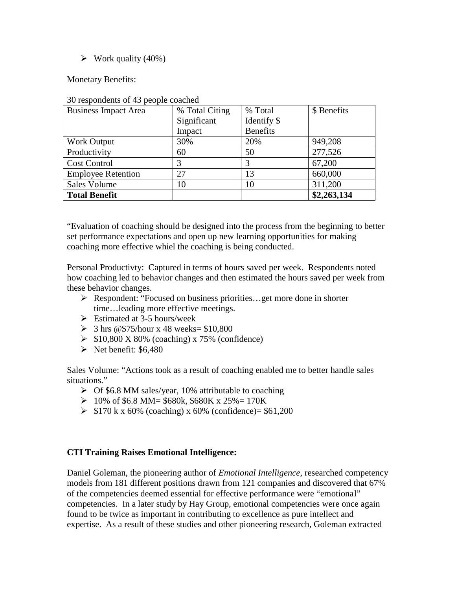#### $\triangleright$  Work quality (40%)

Monetary Benefits:

| <b>Business Impact Area</b> | % Total Citing | % Total         | \$ Benefits |
|-----------------------------|----------------|-----------------|-------------|
|                             | Significant    | Identify \$     |             |
|                             | Impact         | <b>Benefits</b> |             |
| <b>Work Output</b>          | 30%            | 20%             | 949,208     |
| Productivity                | 60             | 50              | 277,526     |
| <b>Cost Control</b>         |                | 3               | 67,200      |
| <b>Employee Retention</b>   | 27             | 13              | 660,000     |
| <b>Sales Volume</b>         | 10             | 10              | 311,200     |
| <b>Total Benefit</b>        |                |                 | \$2,263,134 |

30 respondents of 43 people coached

"Evaluation of coaching should be designed into the process from the beginning to better set performance expectations and open up new learning opportunities for making coaching more effective whiel the coaching is being conducted.

Personal Productivty: Captured in terms of hours saved per week. Respondents noted how coaching led to behavior changes and then estimated the hours saved per week from these behavior changes.

- Respondent: "Focused on business priorities…get more done in shorter time…leading more effective meetings.
- $\triangleright$  Estimated at 3-5 hours/week
- $\geq$  3 hrs @\$75/hour x 48 weeks= \$10,800
- $\triangleright$  \$10,800 X 80% (coaching) x 75% (confidence)
- $\triangleright$  Net benefit: \$6,480

Sales Volume: "Actions took as a result of coaching enabled me to better handle sales situations."

- $\triangleright$  Of \$6.8 MM sales/year, 10% attributable to coaching
- $\geq 10\%$  of \$6.8 MM= \$680k, \$680K x 25%= 170K
- $\geq$  \$170 k x 60% (coaching) x 60% (confidence)= \$61,200

## **CTI Training Raises Emotional Intelligence:**

Daniel Goleman, the pioneering author of *Emotional Intelligence*, researched competency models from 181 different positions drawn from 121 companies and discovered that 67% of the competencies deemed essential for effective performance were "emotional" competencies. In a later study by Hay Group, emotional competencies were once again found to be twice as important in contributing to excellence as pure intellect and expertise. As a result of these studies and other pioneering research, Goleman extracted